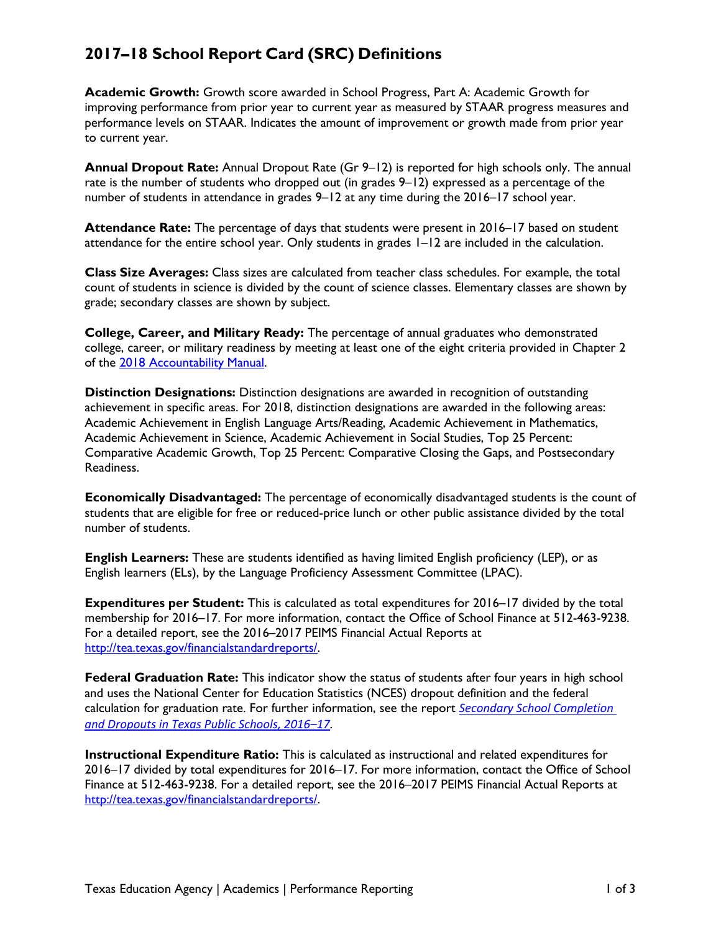## **2017–18 School Report Card (SRC) Definitions**

**Academic Growth:** Growth score awarded in School Progress, Part A: Academic Growth for improving performance from prior year to current year as measured by STAAR progress measures and performance levels on STAAR. Indicates the amount of improvement or growth made from prior year to current year.

**Annual Dropout Rate:** Annual Dropout Rate (Gr 9–12) is reported for high schools only. The annual rate is the number of students who dropped out (in grades 9–12) expressed as a percentage of the number of students in attendance in grades 9–12 at any time during the 2016–17 school year.

**Attendance Rate:** The percentage of days that students were present in 2016–17 based on student attendance for the entire school year. Only students in grades 1–12 are included in the calculation.

**Class Size Averages:** Class sizes are calculated from teacher class schedules. For example, the total count of students in science is divided by the count of science classes. Elementary classes are shown by grade; secondary classes are shown by subject.

**College, Career, and Military Ready:** The percentage of annual graduates who demonstrated college, career, or military readiness by meeting at least one of the eight criteria provided in Chapter 2 of the [2018 Accountability Manual.](https://tea.texas.gov/2018accountabilitymanual.aspx)

**Distinction Designations:** Distinction designations are awarded in recognition of outstanding achievement in specific areas. For 2018, distinction designations are awarded in the following areas: Academic Achievement in English Language Arts/Reading, Academic Achievement in Mathematics, Academic Achievement in Science, Academic Achievement in Social Studies, Top 25 Percent: Comparative Academic Growth, Top 25 Percent: Comparative Closing the Gaps, and Postsecondary Readiness.

**Economically Disadvantaged:** The percentage of economically disadvantaged students is the count of students that are eligible for free or reduced-price lunch or other public assistance divided by the total number of students.

**English Learners:** These are students identified as having limited English proficiency (LEP), or as English learners (ELs), by the Language Proficiency Assessment Committee (LPAC).

**Expenditures per Student:** This is calculated as total expenditures for 2016–17 divided by the total membership for 2016–17. For more information, contact the Office of School Finance at 512-463-9238. For a detailed report, see the 2016–2017 PEIMS Financial Actual Reports at [http://tea.texas.gov/financialstandardreports/.](http://tea.texas.gov/financialstandardreports/)

**Federal Graduation Rate:** This indicator show the status of students after four years in high school and uses the National Center for Education Statistics (NCES) dropout definition and the federal calculation for graduation rate. For further information, see the report *[Secondary School Completion](https://tea.texas.gov/acctres/dropcomp_2016-17.pdf)  [and Dropouts in Texas Public Schools, 2016–17](https://tea.texas.gov/acctres/dropcomp_2016-17.pdf)*.

**Instructional Expenditure Ratio:** This is calculated as instructional and related expenditures for 2016–17 divided by total expenditures for 2016–17. For more information, contact the Office of School Finance at 512-463-9238. For a detailed report, see the 2016–2017 PEIMS Financial Actual Reports at [http://tea.texas.gov/financialstandardreports/.](http://tea.texas.gov/financialstandardreports/)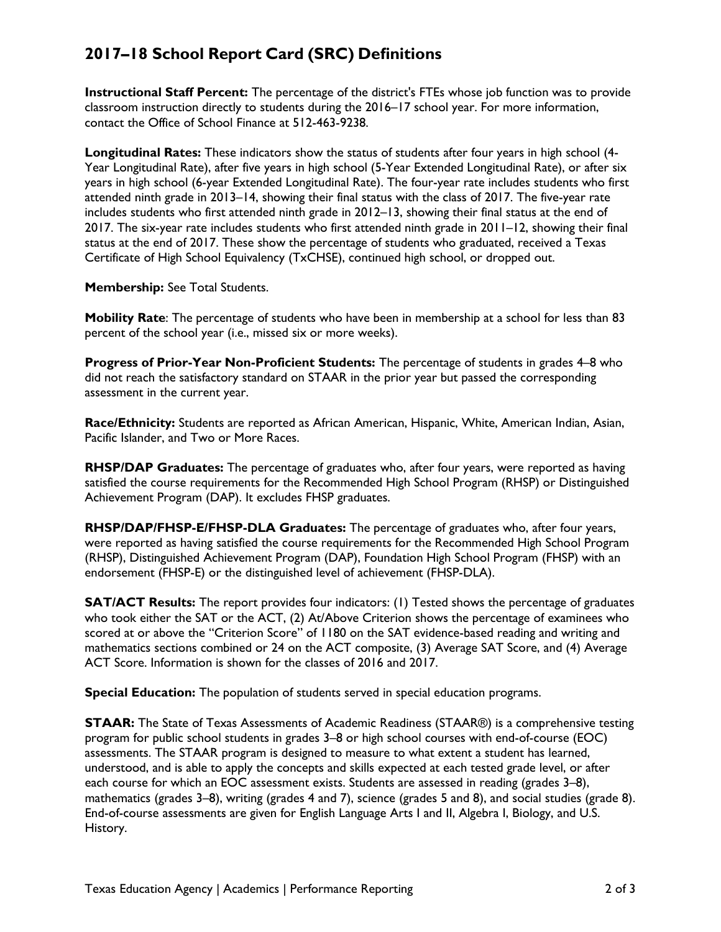## **2017–18 School Report Card (SRC) Definitions**

**Instructional Staff Percent:** The percentage of the district's FTEs whose job function was to provide classroom instruction directly to students during the 2016–17 school year. For more information, contact the Office of School Finance at 512-463-9238.

**Longitudinal Rates:** These indicators show the status of students after four years in high school (4- Year Longitudinal Rate), after five years in high school (5-Year Extended Longitudinal Rate), or after six years in high school (6-year Extended Longitudinal Rate). The four-year rate includes students who first attended ninth grade in 2013–14, showing their final status with the class of 2017. The five-year rate includes students who first attended ninth grade in 2012–13, showing their final status at the end of 2017. The six-year rate includes students who first attended ninth grade in 2011–12, showing their final status at the end of 2017. These show the percentage of students who graduated, received a Texas Certificate of High School Equivalency (TxCHSE), continued high school, or dropped out.

**Membership:** See Total Students.

**Mobility Rate**: The percentage of students who have been in membership at a school for less than 83 percent of the school year (i.e., missed six or more weeks).

**Progress of Prior-Year Non-Proficient Students:** The percentage of students in grades 4–8 who did not reach the satisfactory standard on STAAR in the prior year but passed the corresponding assessment in the current year.

**Race/Ethnicity:** Students are reported as African American, Hispanic, White, American Indian, Asian, Pacific Islander, and Two or More Races.

**RHSP/DAP Graduates:** The percentage of graduates who, after four years, were reported as having satisfied the course requirements for the Recommended High School Program (RHSP) or Distinguished Achievement Program (DAP). It excludes FHSP graduates.

**RHSP/DAP/FHSP-E/FHSP-DLA Graduates:** The percentage of graduates who, after four years, were reported as having satisfied the course requirements for the Recommended High School Program (RHSP), Distinguished Achievement Program (DAP), Foundation High School Program (FHSP) with an endorsement (FHSP-E) or the distinguished level of achievement (FHSP-DLA).

**SAT/ACT Results:** The report provides four indicators: (1) Tested shows the percentage of graduates who took either the SAT or the ACT, (2) At/Above Criterion shows the percentage of examinees who scored at or above the "Criterion Score" of 1180 on the SAT evidence-based reading and writing and mathematics sections combined or 24 on the ACT composite, (3) Average SAT Score, and (4) Average ACT Score. Information is shown for the classes of 2016 and 2017.

**Special Education:** The population of students served in special education programs.

**STAAR:** The State of Texas Assessments of Academic Readiness (STAAR®) is a comprehensive testing program for public school students in grades 3–8 or high school courses with end-of-course (EOC) assessments. The STAAR program is designed to measure to what extent a student has learned, understood, and is able to apply the concepts and skills expected at each tested grade level, or after each course for which an EOC assessment exists. Students are assessed in reading (grades 3–8), mathematics (grades 3–8), writing (grades 4 and 7), science (grades 5 and 8), and social studies (grade 8). End-of-course assessments are given for English Language Arts I and II, Algebra I, Biology, and U.S. History.